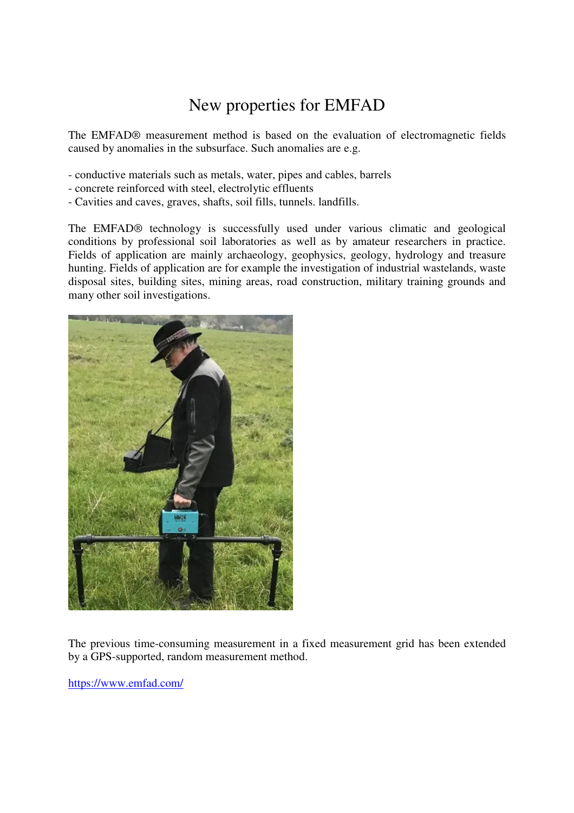## New properties for EMFAD

The EMFAD® measurement method is based on the evaluation of electromagnetic fields caused by anomalies in the subsurface. Such anomalies are e.g.

- conductive materials such as metals, water, pipes and cables, barrels

- concrete reinforced with steel, electrolytic effluents
- Cavities and caves, graves, shafts, soil fills, tunnels. landfills.

The EMFAD® technology is successfully used under various climatic and geological conditions by professional soil laboratories as well as by amateur researchers in practice. Fields of application are mainly archaeology, geophysics, geology, hydrology and treasure hunting. Fields of application are for example the investigation of industrial wastelands, waste disposal sites, building sites, mining areas, road construction, military training grounds and many other soil investigations.



The previous time-consuming measurement in a fixed measurement grid has been extended by a GPS-supported, random measurement method.

https://www.emfad.com/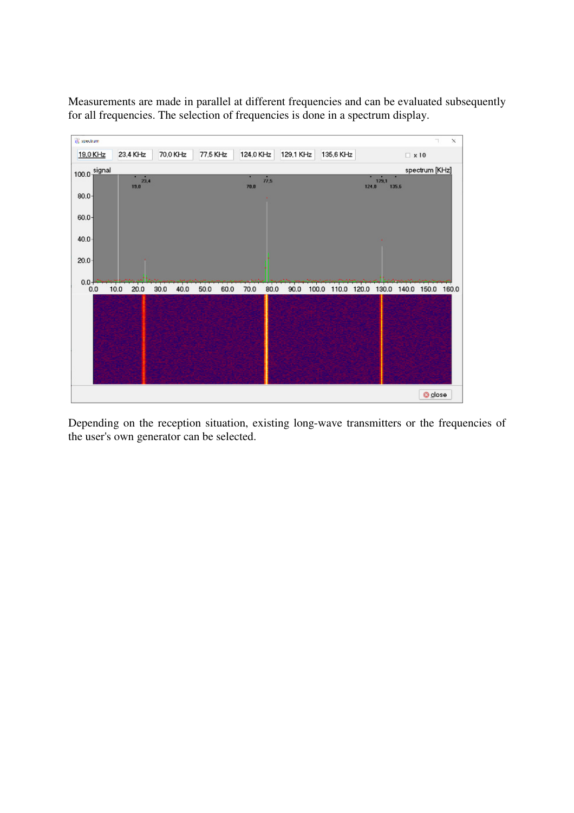Measurements are made in parallel at different frequencies and can be evaluated subsequently for all frequencies. The selection of frequencies is done in a spectrum display.



Depending on the reception situation, existing long-wave transmitters or the frequencies of the user's own generator can be selected.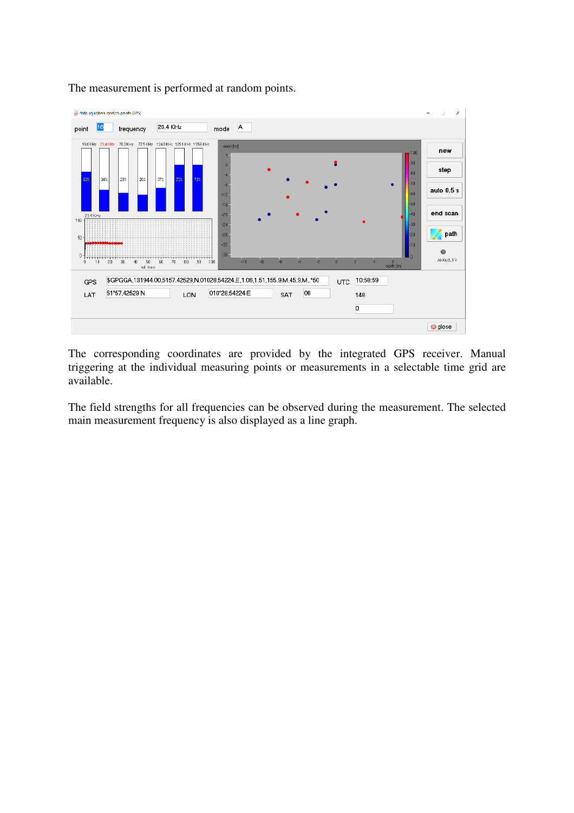

The measurement is performed at random points.

The corresponding coordinates are provided by the integrated GPS receiver. Manual triggering at the individual measuring points or measurements in a selectable time grid are available.

The field strengths for all frequencies can be observed during the measurement. The selected main measurement frequency is also displayed as a line graph.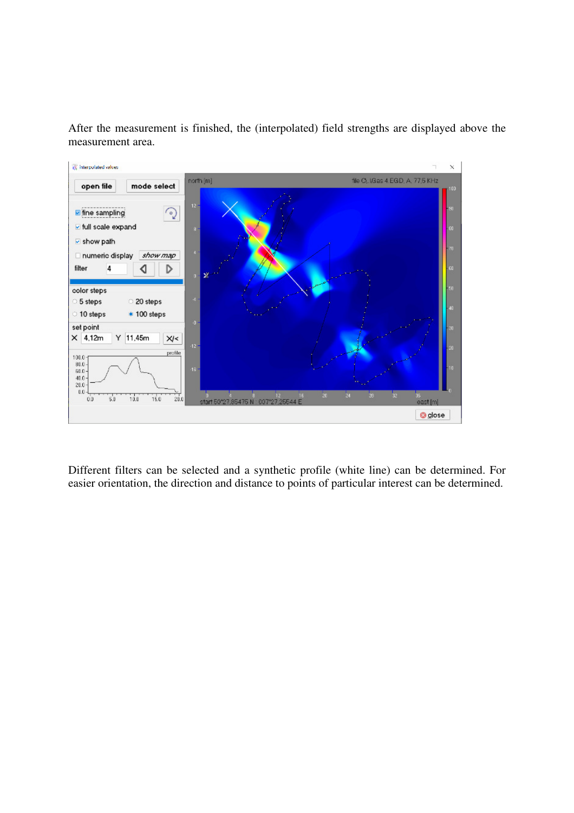After the measurement is finished, the (interpolated) field strengths are displayed above the measurement area.



Different filters can be selected and a synthetic profile (white line) can be determined. For easier orientation, the direction and distance to points of particular interest can be determined.